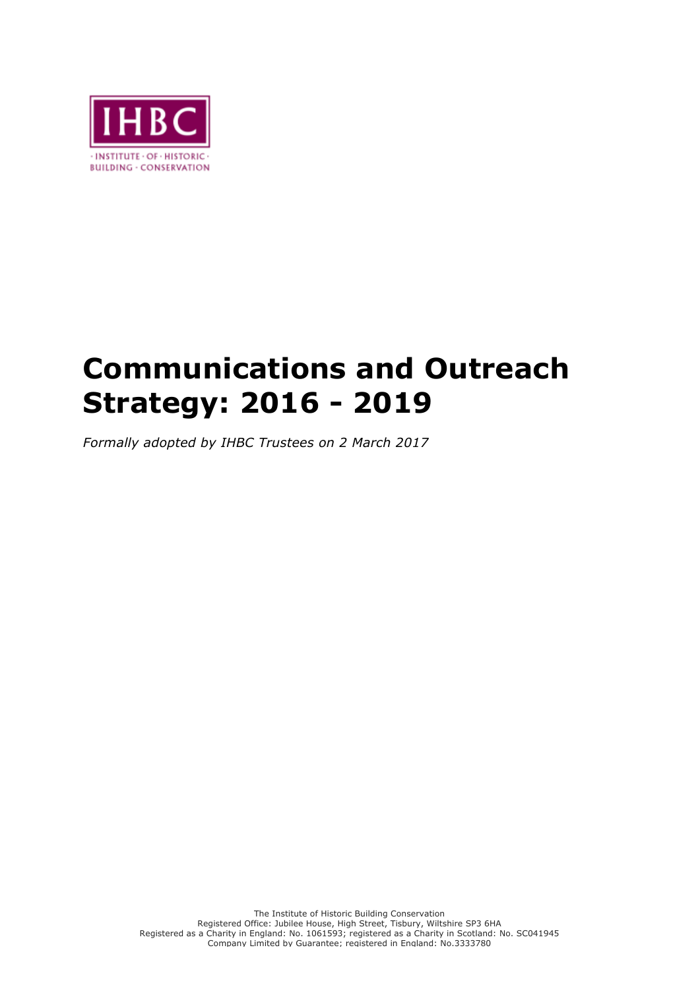

## **Communications and Outreach Strategy: 2016 - 2019**

*Formally adopted by IHBC Trustees on 2 March 2017*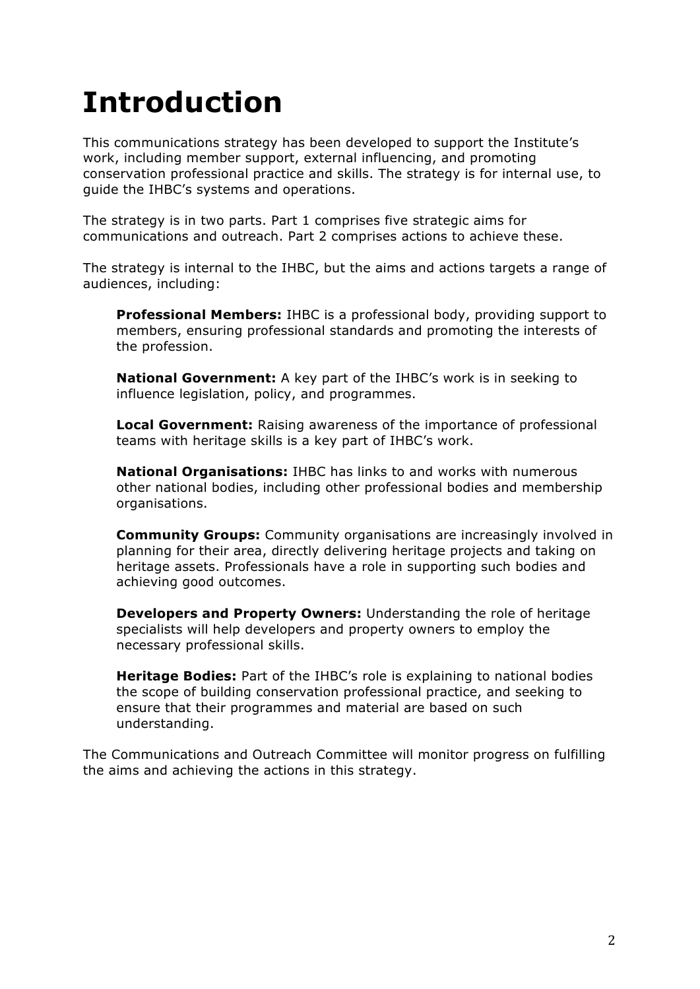# **Introduction**

This communications strategy has been developed to support the Institute's work, including member support, external influencing, and promoting conservation professional practice and skills. The strategy is for internal use, to guide the IHBC's systems and operations.

The strategy is in two parts. Part 1 comprises five strategic aims for communications and outreach. Part 2 comprises actions to achieve these.

The strategy is internal to the IHBC, but the aims and actions targets a range of audiences, including:

**Professional Members:** IHBC is a professional body, providing support to members, ensuring professional standards and promoting the interests of the profession.

**National Government:** A key part of the IHBC's work is in seeking to influence legislation, policy, and programmes.

**Local Government:** Raising awareness of the importance of professional teams with heritage skills is a key part of IHBC's work.

**National Organisations:** IHBC has links to and works with numerous other national bodies, including other professional bodies and membership organisations.

**Community Groups:** Community organisations are increasingly involved in planning for their area, directly delivering heritage projects and taking on heritage assets. Professionals have a role in supporting such bodies and achieving good outcomes.

**Developers and Property Owners:** Understanding the role of heritage specialists will help developers and property owners to employ the necessary professional skills.

**Heritage Bodies:** Part of the IHBC's role is explaining to national bodies the scope of building conservation professional practice, and seeking to ensure that their programmes and material are based on such understanding.

The Communications and Outreach Committee will monitor progress on fulfilling the aims and achieving the actions in this strategy.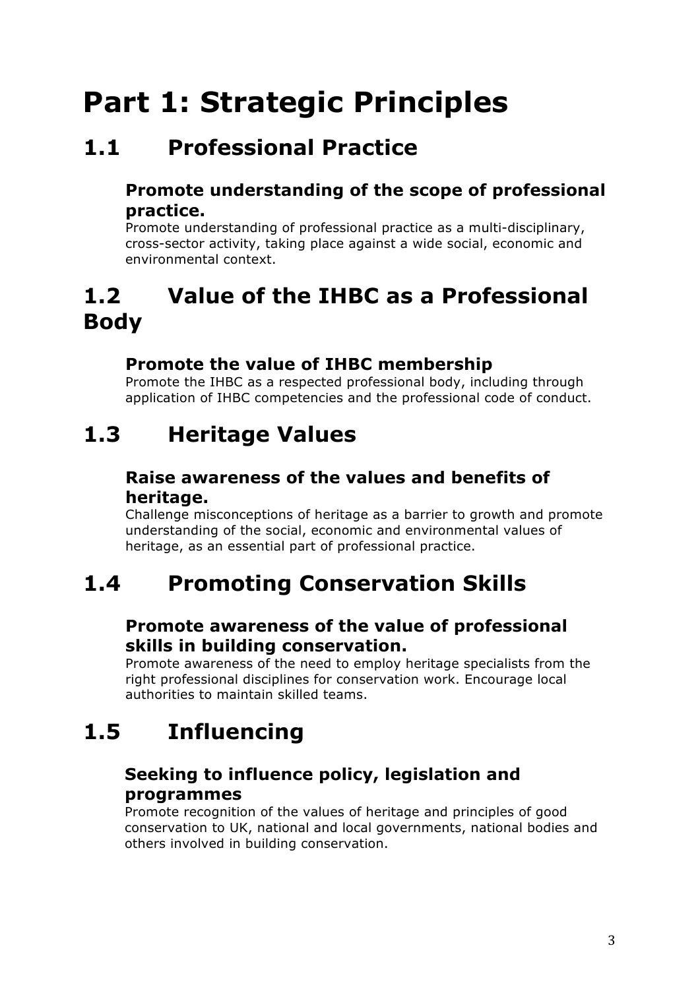# **Part 1: Strategic Principles**

### **1.1 Professional Practice**

#### **Promote understanding of the scope of professional practice.**

Promote understanding of professional practice as a multi-disciplinary, cross-sector activity, taking place against a wide social, economic and environmental context.

### **1.2 Value of the IHBC as a Professional Body**

#### **Promote the value of IHBC membership**

Promote the IHBC as a respected professional body, including through application of IHBC competencies and the professional code of conduct.

### **1.3 Heritage Values**

#### **Raise awareness of the values and benefits of heritage.**

Challenge misconceptions of heritage as a barrier to growth and promote understanding of the social, economic and environmental values of heritage, as an essential part of professional practice.

### **1.4 Promoting Conservation Skills**

#### **Promote awareness of the value of professional skills in building conservation.**

Promote awareness of the need to employ heritage specialists from the right professional disciplines for conservation work. Encourage local authorities to maintain skilled teams.

### **1.5 Influencing**

#### **Seeking to influence policy, legislation and programmes**

Promote recognition of the values of heritage and principles of good conservation to UK, national and local governments, national bodies and others involved in building conservation.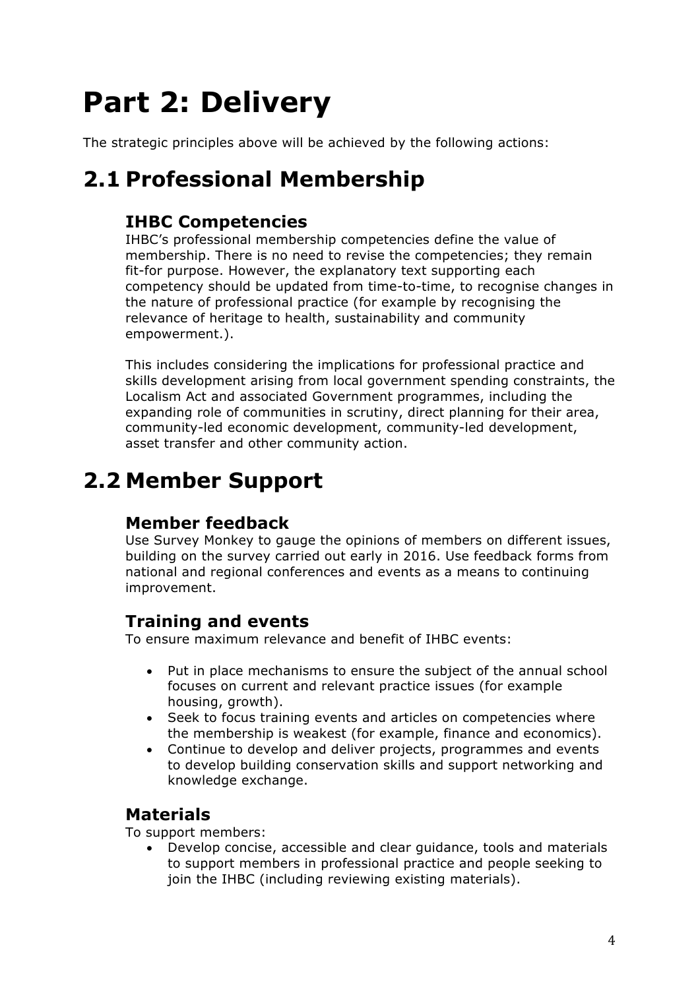# **Part 2: Delivery**

The strategic principles above will be achieved by the following actions:

### **2.1 Professional Membership**

#### **IHBC Competencies**

IHBC's professional membership competencies define the value of membership. There is no need to revise the competencies; they remain fit-for purpose. However, the explanatory text supporting each competency should be updated from time-to-time, to recognise changes in the nature of professional practice (for example by recognising the relevance of heritage to health, sustainability and community empowerment.).

This includes considering the implications for professional practice and skills development arising from local government spending constraints, the Localism Act and associated Government programmes, including the expanding role of communities in scrutiny, direct planning for their area, community-led economic development, community-led development, asset transfer and other community action.

### **2.2 Member Support**

#### **Member feedback**

Use Survey Monkey to gauge the opinions of members on different issues, building on the survey carried out early in 2016. Use feedback forms from national and regional conferences and events as a means to continuing improvement.

#### **Training and events**

To ensure maximum relevance and benefit of IHBC events:

- Put in place mechanisms to ensure the subject of the annual school focuses on current and relevant practice issues (for example housing, growth).
- Seek to focus training events and articles on competencies where the membership is weakest (for example, finance and economics).
- Continue to develop and deliver projects, programmes and events to develop building conservation skills and support networking and knowledge exchange.

#### **Materials**

To support members:

• Develop concise, accessible and clear guidance, tools and materials to support members in professional practice and people seeking to join the IHBC (including reviewing existing materials).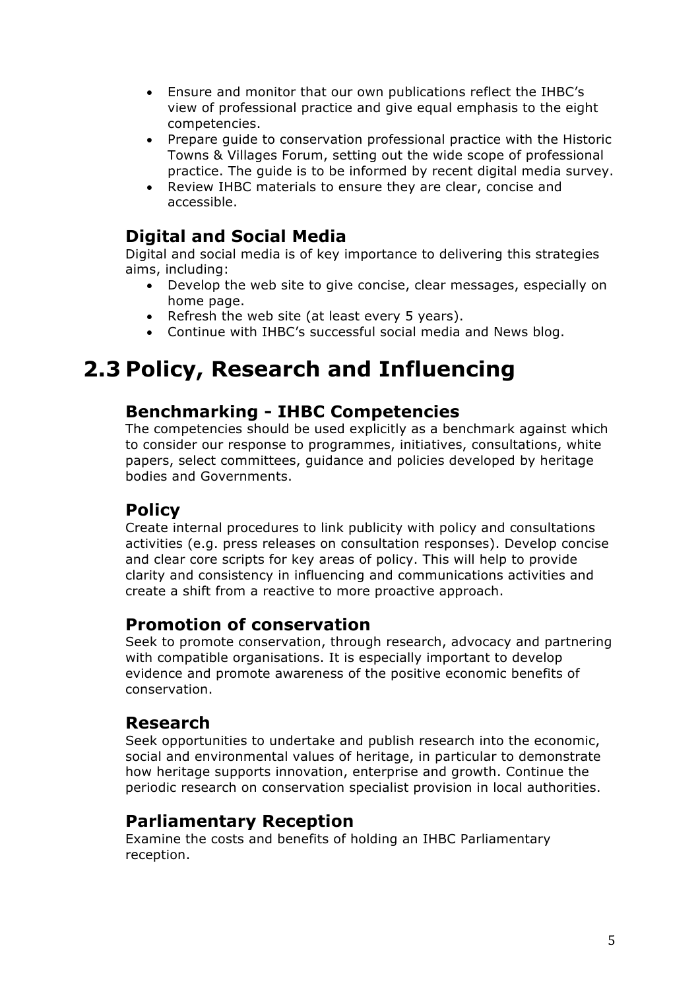- Ensure and monitor that our own publications reflect the IHBC's view of professional practice and give equal emphasis to the eight competencies.
- Prepare guide to conservation professional practice with the Historic Towns & Villages Forum, setting out the wide scope of professional practice. The guide is to be informed by recent digital media survey.
- Review IHBC materials to ensure they are clear, concise and accessible.

#### **Digital and Social Media**

Digital and social media is of key importance to delivering this strategies aims, including:

- Develop the web site to give concise, clear messages, especially on home page.
- Refresh the web site (at least every 5 years).
- Continue with IHBC's successful social media and News blog.

### **2.3 Policy, Research and Influencing**

#### **Benchmarking - IHBC Competencies**

The competencies should be used explicitly as a benchmark against which to consider our response to programmes, initiatives, consultations, white papers, select committees, guidance and policies developed by heritage bodies and Governments.

#### **Policy**

Create internal procedures to link publicity with policy and consultations activities (e.g. press releases on consultation responses). Develop concise and clear core scripts for key areas of policy. This will help to provide clarity and consistency in influencing and communications activities and create a shift from a reactive to more proactive approach.

#### **Promotion of conservation**

Seek to promote conservation, through research, advocacy and partnering with compatible organisations. It is especially important to develop evidence and promote awareness of the positive economic benefits of conservation.

#### **Research**

Seek opportunities to undertake and publish research into the economic, social and environmental values of heritage, in particular to demonstrate how heritage supports innovation, enterprise and growth. Continue the periodic research on conservation specialist provision in local authorities.

#### **Parliamentary Reception**

Examine the costs and benefits of holding an IHBC Parliamentary reception.